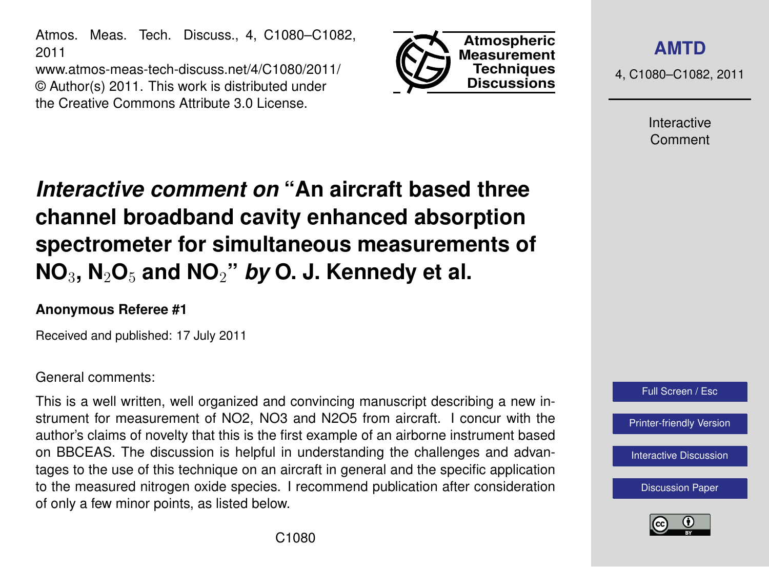Atmos. Meas. Tech. Discuss., 4, C1080–C1082, 2011

www.atmos-meas-tech-discuss.net/4/C1080/2011/ © Author(s) 2011. This work is distributed under the Creative Commons Attribute 3.0 License.



**[AMTD](http://www.atmos-meas-tech-discuss.net)**

4, C1080–C1082, 2011

Interactive Comment

## *Interactive comment on* **"An aircraft based three channel broadband cavity enhanced absorption spectrometer for simultaneous measurements of NO**3**, N**2**O**<sup>5</sup> **and NO**2**"** *by* **O. J. Kennedy et al.**

## **Anonymous Referee #1**

Received and published: 17 July 2011

## General comments:

This is a well written, well organized and convincing manuscript describing a new instrument for measurement of NO2, NO3 and N2O5 from aircraft. I concur with the author's claims of novelty that this is the first example of an airborne instrument based on BBCEAS. The discussion is helpful in understanding the challenges and advantages to the use of this technique on an aircraft in general and the specific application to the measured nitrogen oxide species. I recommend publication after consideration of only a few minor points, as listed below.



[Discussion Paper](http://www.atmos-meas-tech-discuss.net/4/3499/2011/amtd-4-3499-2011.pdf)

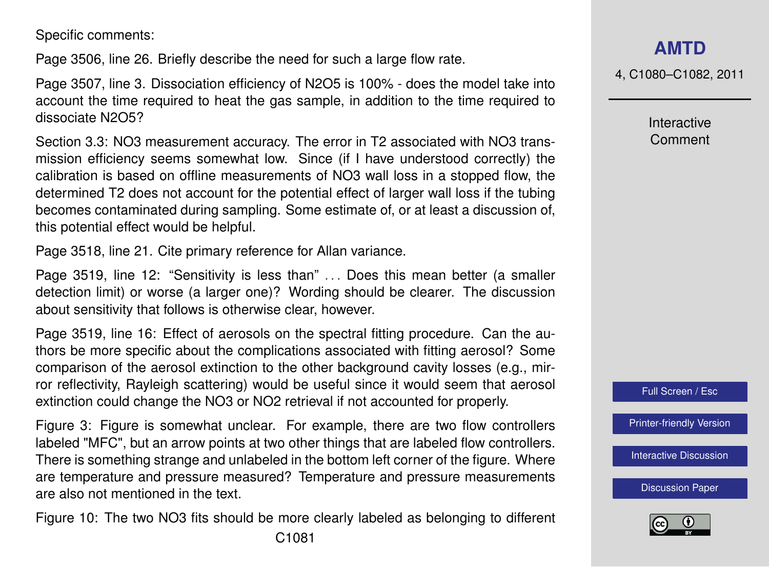Specific comments:

Page 3506, line 26. Briefly describe the need for such a large flow rate.

Page 3507, line 3. Dissociation efficiency of N2O5 is 100% - does the model take into account the time required to heat the gas sample, in addition to the time required to dissociate N2O5?

Section 3.3: NO3 measurement accuracy. The error in T2 associated with NO3 transmission efficiency seems somewhat low. Since (if I have understood correctly) the calibration is based on offline measurements of NO3 wall loss in a stopped flow, the determined T2 does not account for the potential effect of larger wall loss if the tubing becomes contaminated during sampling. Some estimate of, or at least a discussion of, this potential effect would be helpful.

Page 3518, line 21. Cite primary reference for Allan variance.

Page 3519, line 12: "Sensitivity is less than" ... Does this mean better (a smaller detection limit) or worse (a larger one)? Wording should be clearer. The discussion about sensitivity that follows is otherwise clear, however.

Page 3519, line 16: Effect of aerosols on the spectral fitting procedure. Can the authors be more specific about the complications associated with fitting aerosol? Some comparison of the aerosol extinction to the other background cavity losses (e.g., mirror reflectivity, Rayleigh scattering) would be useful since it would seem that aerosol extinction could change the NO3 or NO2 retrieval if not accounted for properly.

Figure 3: Figure is somewhat unclear. For example, there are two flow controllers labeled "MFC", but an arrow points at two other things that are labeled flow controllers. There is something strange and unlabeled in the bottom left corner of the figure. Where are temperature and pressure measured? Temperature and pressure measurements are also not mentioned in the text.

Figure 10: The two NO3 fits should be more clearly labeled as belonging to different

4, C1080–C1082, 2011

Interactive Comment



[Printer-friendly Version](http://www.atmos-meas-tech-discuss.net/4/C1080/2011/amtd-4-C1080-2011-print.pdf)

[Interactive Discussion](http://www.atmos-meas-tech-discuss.net/4/3499/2011/amtd-4-3499-2011-discussion.html)

[Discussion Paper](http://www.atmos-meas-tech-discuss.net/4/3499/2011/amtd-4-3499-2011.pdf)